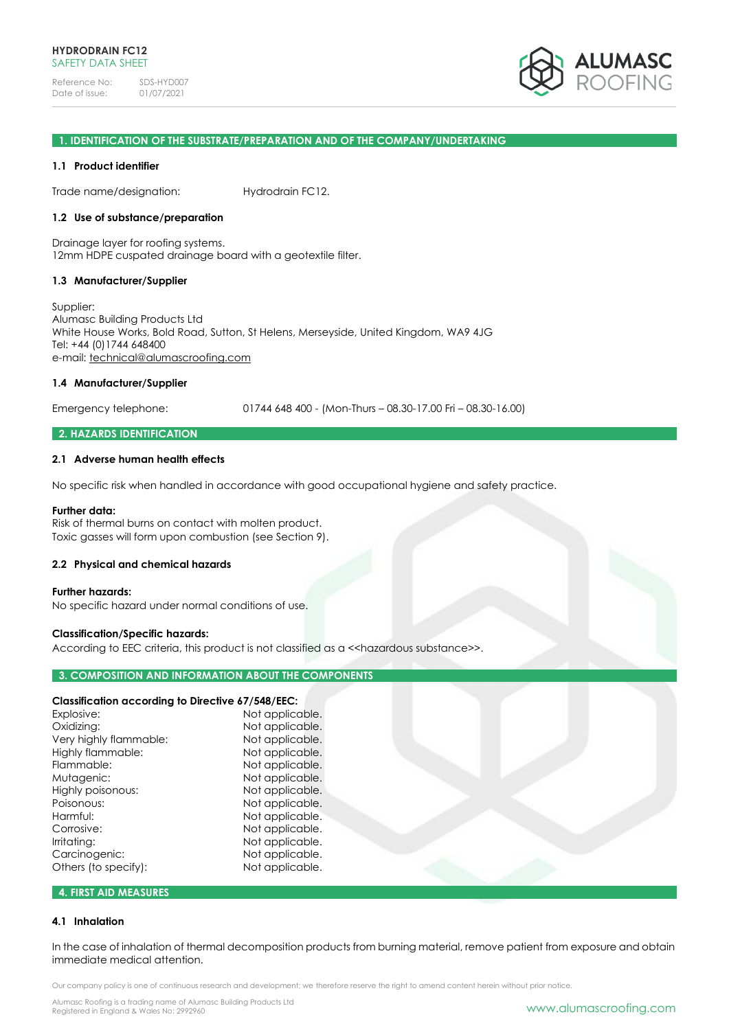

#### **1. IDENTIFICATION OF THE SUBSTRATE/PREPARATION AND OF THE COMPANY/UNDERTAKING**

#### **1.1 Product identifier**

Trade name/designation: Hydrodrain FC12.

## **1.2 Use of substance/preparation**

Drainage layer for roofing systems. 12mm HDPE cuspated drainage board with a geotextile filter.

### **1.3 Manufacturer/Supplier**

Supplier: Alumasc Building Products Ltd White House Works, Bold Road, Sutton, St Helens, Merseyside, United Kingdom, WA9 4JG Tel: +44 (0)1744 648400 e-mail: [technical@alumascroofing.com](mailto:technical@alumascroofing.com)

## **1.4 Manufacturer/Supplier**

Emergency telephone: 01744 648 400 - (Mon-Thurs – 08.30-17.00 Fri – 08.30-16.00)

## **2. HAZARDS IDENTIFICATION**

#### **2.1 Adverse human health effects**

No specific risk when handled in accordance with good occupational hygiene and safety practice.

#### **Further data:**

Risk of thermal burns on contact with molten product. Toxic gasses will form upon combustion (see Section 9).

#### **2.2 Physical and chemical hazards**

#### **Further hazards:**

No specific hazard under normal conditions of use.

#### **Classification/Specific hazards:**

According to EEC criteria, this product is not classified as a << hazardous substance>>.

## **3. COMPOSITION AND INFORMATION ABOUT THE COMPONENTS**

# **Classification according to Directive 67/548/EEC:**

| Explosive:             | Not applicable. |
|------------------------|-----------------|
| Oxidizing:             | Not applicable. |
| Very highly flammable: | Not applicable. |
| Highly flammable:      | Not applicable. |
| Flammable:             | Not applicable. |
| Mutagenic:             | Not applicable. |
| Highly poisonous:      | Not applicable. |
| Poisonous:             | Not applicable. |
| Harmful:               | Not applicable. |
| Corrosive:             | Not applicable. |
| Irritating:            | Not applicable. |
| Carcinogenic:          | Not applicable. |
| Others (to specify):   | Not applicable. |
|                        |                 |

# **4. FIRST AID MEASURES**

#### **4.1 Inhalation**

In the case of inhalation of thermal decomposition products from burning material, remove patient from exposure and obtain immediate medical attention.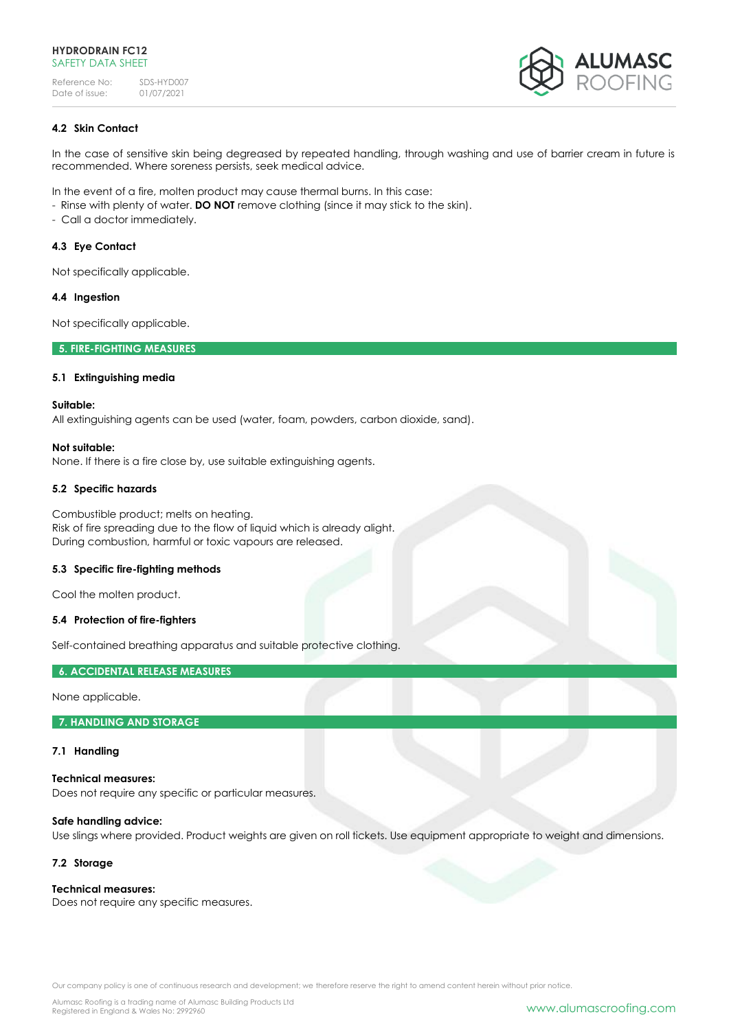

# **4.2 Skin Contact**

In the case of sensitive skin being degreased by repeated handling, through washing and use of barrier cream in future is recommended. Where soreness persists, seek medical advice.

In the event of a fire, molten product may cause thermal burns. In this case:

- Rinse with plenty of water. **DO NOT** remove clothing (since it may stick to the skin).
- Call a doctor immediately.

# **4.3 Eye Contact**

Not specifically applicable.

# **4.4 Ingestion**

Not specifically applicable.

# **5. FIRE-FIGHTING MEASURES**

# **5.1 Extinguishing media**

## **Suitable:**

All extinguishing agents can be used (water, foam, powders, carbon dioxide, sand).

# **Not suitable:**

None. If there is a fire close by, use suitable extinguishing agents.

# **5.2 Specific hazards**

Combustible product; melts on heating. Risk of fire spreading due to the flow of liquid which is already alight. During combustion, harmful or toxic vapours are released.

## **5.3 Specific fire-fighting methods**

Cool the molten product.

# **5.4 Protection of fire-fighters**

Self-contained breathing apparatus and suitable protective clothing.

# **6. ACCIDENTAL RELEASE MEASURES**

None applicable.

## **7. HANDLING AND STORAGE**

## **7.1 Handling**

**Technical measures:** Does not require any specific or particular measures.

# **Safe handling advice:**

Use slings where provided. Product weights are given on roll tickets. Use equipment appropriate to weight and dimensions.

# **7.2 Storage**

# **Technical measures:**

Does not require any specific measures.

Our company policy is one of continuous research and development; we therefore reserve the right to amend content herein without prior notice.

Alumasc Roofing is a trading name of Alumasc Building Products Ltd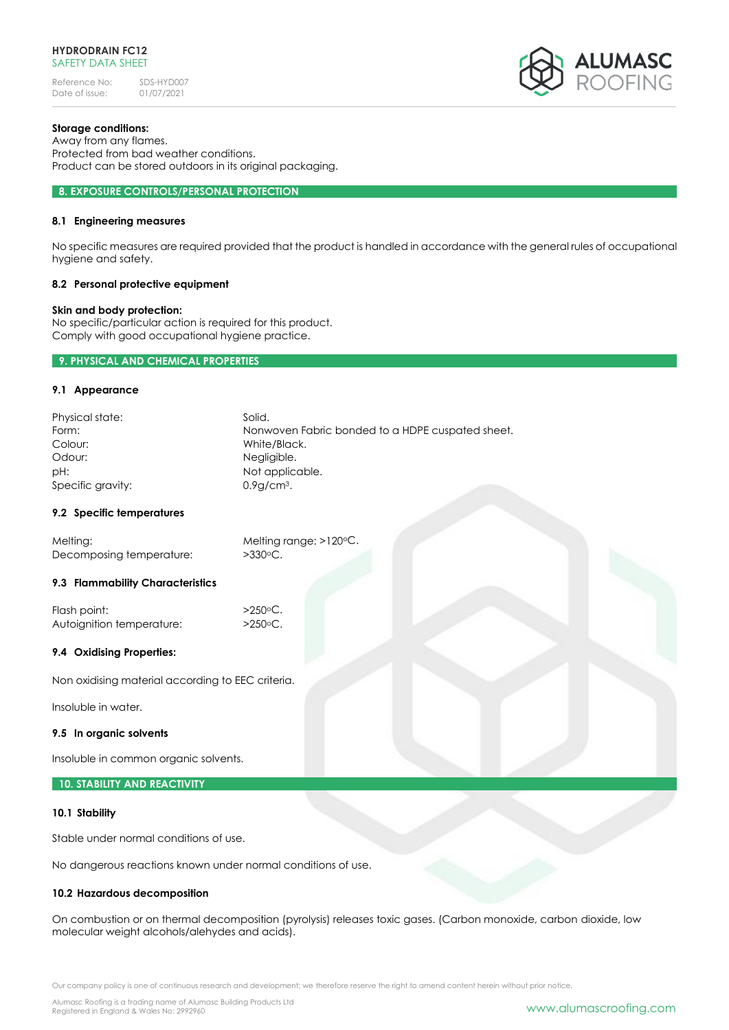

# **Storage conditions:**

Away from any flames. Protected from bad weather conditions. Product can be stored outdoors in its original packaging.

#### **8. EXPOSURE CONTROLS/PERSONAL PROTECTION**

## **8.1 Engineering measures**

No specific measures are required provided that the product is handled in accordance with the general rules of occupational hygiene and safety.

## **8.2 Personal protective equipment**

## **Skin and body protection:**

No specific/particular action is required for this product. Comply with good occupational hygiene practice.

## **9. PHYSICAL AND CHEMICAL PROPERTIES**

#### **9.1 Appearance**

| Physical state:   | Solid.                                           |
|-------------------|--------------------------------------------------|
| Form:             | Nonwoven Fabric bonded to a HDPE cuspated sheet. |
| Colour:           | White/Black.                                     |
| Odour:            | Negligible.                                      |
| pH:               | Not applicable.                                  |
| Specific gravity: | $0.9q$ cm <sup>3</sup> .                         |

#### **9.2 Specific temperatures**

| Melting:                 | Melting range: $>120^{\circ}$ C. |
|--------------------------|----------------------------------|
| Decomposing temperature: | $>330^{\circ}$ C.                |

## **9.3 Flammability Characteristics**

Flash point:  $>250$ °C. Autoignition temperature: >250°C.

## **9.4 Oxidising Properties:**

Non oxidising material according to EEC criteria.

Insoluble in water.

#### **9.5 In organic solvents**

Insoluble in common organic solvents.

## **10. STABILITY AND REACTIVITY**

#### **10.1 Stability**

Stable under normal conditions of use.

No dangerous reactions known under normal conditions of use.

## **10.2 Hazardous decomposition**

On combustion or on thermal decomposition (pyrolysis) releases toxic gases. (Carbon monoxide, carbon dioxide, low molecular weight alcohols/alehydes and acids).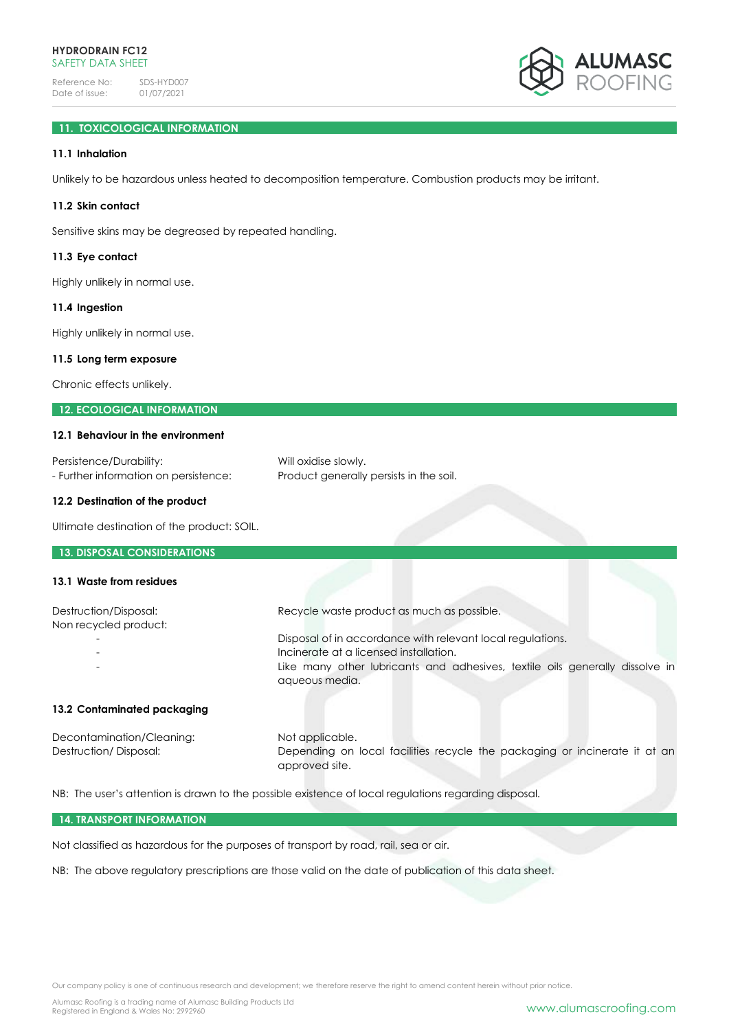

# **11. TOXICOLOGICAL INFORMATION**

# **11.1 Inhalation**

Unlikely to be hazardous unless heated to decomposition temperature. Combustion products may be irritant.

## **11.2 Skin contact**

Sensitive skins may be degreased by repeated handling.

#### **11.3 Eye contact**

Highly unlikely in normal use.

#### **11.4 Ingestion**

Highly unlikely in normal use.

#### **11.5 Long term exposure**

Chronic effects unlikely.

# **12. ECOLOGICAL INFORMATION**

#### **12.1 Behaviour in the environment**

| Persistence/Durability:               | Will oxidise slowly.                    |
|---------------------------------------|-----------------------------------------|
| - Further information on persistence: | Product generally persists in the soil. |

## **12.2 Destination of the product**

Ultimate destination of the product: SOIL.

#### **13. DISPOSAL CONSIDERATIONS**

## **13.1 Waste from residues**

| Destruction/Disposal:<br>Non recycled product: | Recycle waste product as much as possible.                                   |
|------------------------------------------------|------------------------------------------------------------------------------|
|                                                | Disposal of in accordance with relevant local regulations.                   |
|                                                | Incinerate at a licensed installation.                                       |
|                                                | Like many other lubricants and adhesives, textile oils generally dissolve in |

#### **13.2 Contaminated packaging**

Decontamination/Cleaning: Not applicable. Destruction/ Disposal: Depending on local facilities recycle the packaging or incinerate it at an approved site.

NB: The user's attention is drawn to the possible existence of local regulations regarding disposal.

aqueous media.

#### **14. TRANSPORT INFORMATION**

Not classified as hazardous for the purposes of transport by road, rail, sea or air.

NB: The above regulatory prescriptions are those valid on the date of publication of this data sheet.